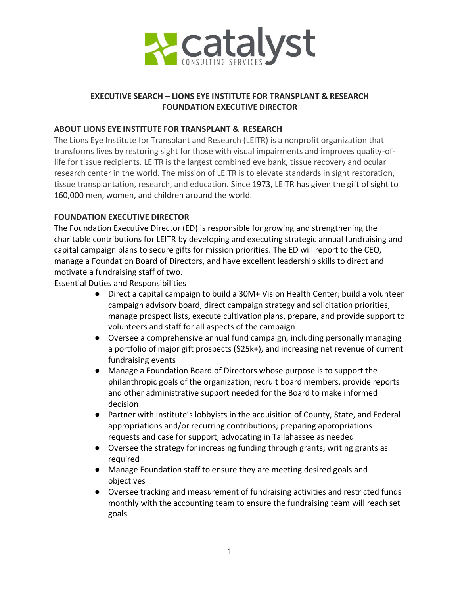

# **EXECUTIVE SEARCH – LIONS EYE INSTITUTE FOR TRANSPLANT & RESEARCH FOUNDATION EXECUTIVE DIRECTOR**

### **ABOUT LIONS EYE INSTITUTE FOR TRANSPLANT & RESEARCH**

The Lions Eye Institute for Transplant and Research (LEITR) is a nonprofit organization that transforms lives by restoring sight for those with visual impairments and improves quality-oflife for tissue recipients. LEITR is the largest combined eye bank, tissue recovery and ocular research center in the world. The mission of LEITR is to elevate standards in sight restoration, tissue transplantation, research, and education. Since 1973, LEITR has given the gift of sight to 160,000 men, women, and children around the world.

### **FOUNDATION EXECUTIVE DIRECTOR**

The Foundation Executive Director (ED) is responsible for growing and strengthening the charitable contributions for LEITR by developing and executing strategic annual fundraising and capital campaign plans to secure gifts for mission priorities. The ED will report to the CEO, manage a Foundation Board of Directors, and have excellent leadership skills to direct and motivate a fundraising staff of two.

Essential Duties and Responsibilities

- Direct a capital campaign to build a 30M+ Vision Health Center; build a volunteer campaign advisory board, direct campaign strategy and solicitation priorities, manage prospect lists, execute cultivation plans, prepare, and provide support to volunteers and staff for all aspects of the campaign
- Oversee a comprehensive annual fund campaign, including personally managing a portfolio of major gift prospects (\$25k+), and increasing net revenue of current fundraising events
- Manage a Foundation Board of Directors whose purpose is to support the philanthropic goals of the organization; recruit board members, provide reports and other administrative support needed for the Board to make informed decision
- Partner with Institute's lobbyists in the acquisition of County, State, and Federal appropriations and/or recurring contributions; preparing appropriations requests and case for support, advocating in Tallahassee as needed
- Oversee the strategy for increasing funding through grants; writing grants as required
- Manage Foundation staff to ensure they are meeting desired goals and objectives
- Oversee tracking and measurement of fundraising activities and restricted funds monthly with the accounting team to ensure the fundraising team will reach set goals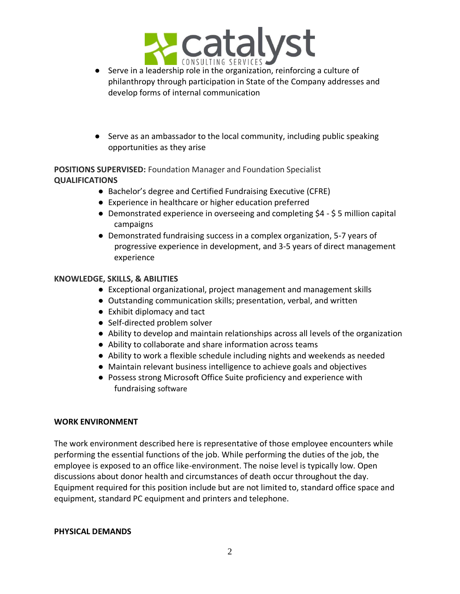

- Serve in a leadership role in the organization, reinforcing a culture of philanthropy through participation in State of the Company addresses and develop forms of internal communication
- Serve as an ambassador to the local community, including public speaking opportunities as they arise

**POSITIONS SUPERVISED:** Foundation Manager and Foundation Specialist **QUALIFICATIONS**

- Bachelor's degree and Certified Fundraising Executive (CFRE)
- Experience in healthcare or higher education preferred
- Demonstrated experience in overseeing and completing \$4 \$ 5 million capital campaigns
- Demonstrated fundraising success in a complex organization, 5-7 years of progressive experience in development, and 3-5 years of direct management experience

### **KNOWLEDGE, SKILLS, & ABILITIES**

- Exceptional organizational, project management and management skills
- Outstanding communication skills; presentation, verbal, and written
- Exhibit diplomacy and tact
- Self-directed problem solver
- Ability to develop and maintain relationships across all levels of the organization
- Ability to collaborate and share information across teams
- Ability to work a flexible schedule including nights and weekends as needed
- Maintain relevant business intelligence to achieve goals and objectives
- Possess strong Microsoft Office Suite proficiency and experience with fundraising software

#### **WORK ENVIRONMENT**

The work environment described here is representative of those employee encounters while performing the essential functions of the job. While performing the duties of the job, the employee is exposed to an office like-environment. The noise level is typically low. Open discussions about donor health and circumstances of death occur throughout the day. Equipment required for this position include but are not limited to, standard office space and equipment, standard PC equipment and printers and telephone.

#### **PHYSICAL DEMANDS**